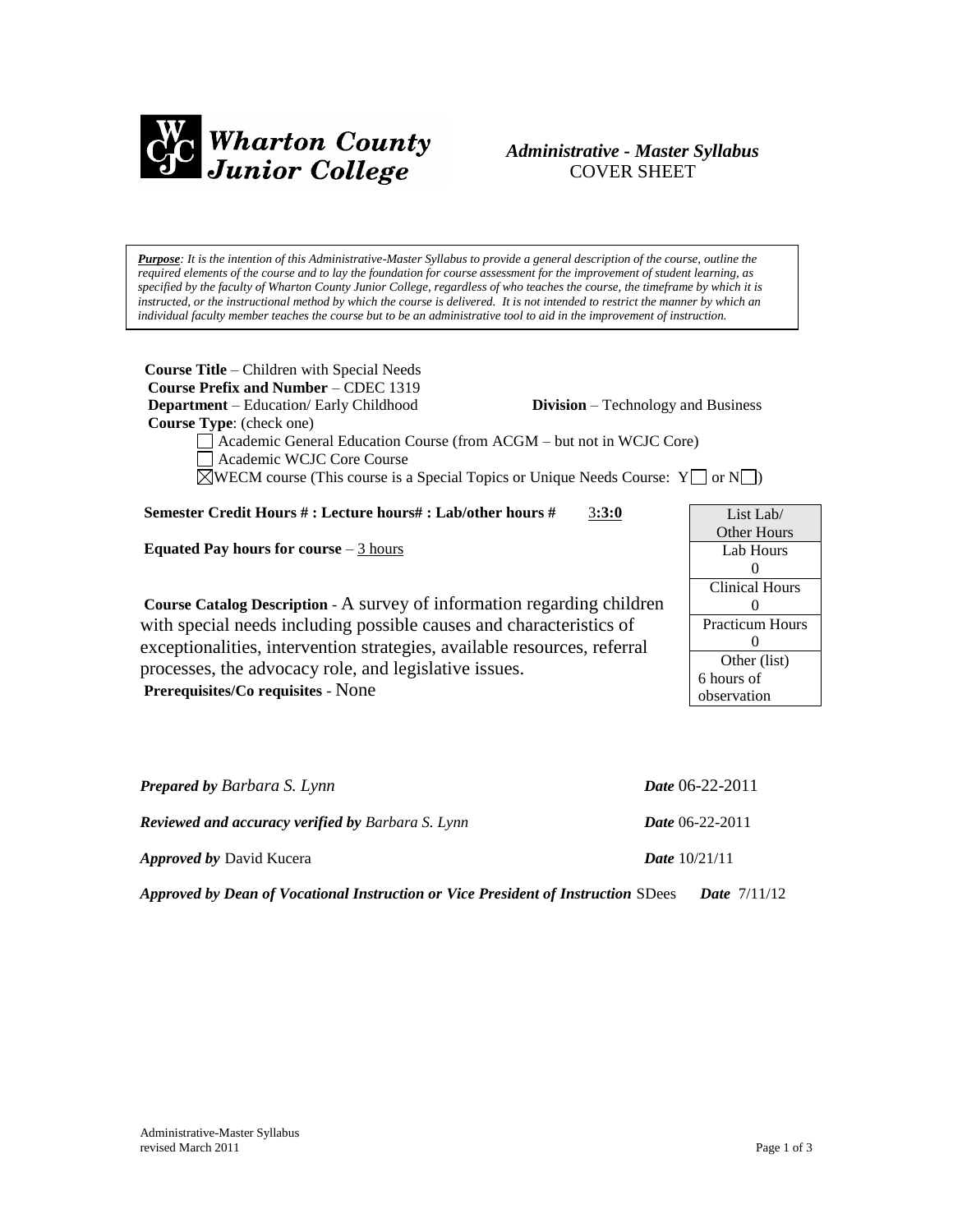

# *Administrative - Master Syllabus*  COVER SHEET

*Purpose: It is the intention of this Administrative-Master Syllabus to provide a general description of the course, outline the required elements of the course and to lay the foundation for course assessment for the improvement of student learning, as specified by the faculty of Wharton County Junior College, regardless of who teaches the course, the timeframe by which it is* instructed, or the instructional method by which the course is delivered. It is not intended to restrict the manner by which an *individual faculty member teaches the course but to be an administrative tool to aid in the improvement of instruction.*

| <b>Course Title</b> – Children with Special Needs<br>Course Prefix and Number – CDEC 1319<br><b>Department</b> – Education/ Early Childhood<br><b>Division</b> – Technology and Business<br><b>Course Type:</b> (check one)<br>Academic General Education Course (from ACGM - but not in WCJC Core)<br>Academic WCJC Core Course<br>$\Diamond$ WECM course (This course is a Special Topics or Unique Needs Course: Y   or N   ) |                        |
|----------------------------------------------------------------------------------------------------------------------------------------------------------------------------------------------------------------------------------------------------------------------------------------------------------------------------------------------------------------------------------------------------------------------------------|------------------------|
| Semester Credit Hours #: Lecture hours#: Lab/other hours #<br>3:3:0                                                                                                                                                                                                                                                                                                                                                              | List Lab               |
| Equated Pay hours for course $-3$ hours                                                                                                                                                                                                                                                                                                                                                                                          | <b>Other Hours</b>     |
|                                                                                                                                                                                                                                                                                                                                                                                                                                  | Lab Hours              |
|                                                                                                                                                                                                                                                                                                                                                                                                                                  | $\Omega$               |
|                                                                                                                                                                                                                                                                                                                                                                                                                                  | <b>Clinical Hours</b>  |
| Course Catalog Description - A survey of information regarding children                                                                                                                                                                                                                                                                                                                                                          | $\Omega$               |
| with special needs including possible causes and characteristics of<br>exceptionalities, intervention strategies, available resources, referral<br>processes, the advocacy role, and legislative issues.<br>Prerequisites/Co requisites - None                                                                                                                                                                                   | <b>Practicum Hours</b> |
|                                                                                                                                                                                                                                                                                                                                                                                                                                  | $\Omega$               |
|                                                                                                                                                                                                                                                                                                                                                                                                                                  | Other (list)           |
|                                                                                                                                                                                                                                                                                                                                                                                                                                  | 6 hours of             |
|                                                                                                                                                                                                                                                                                                                                                                                                                                  | observation            |
|                                                                                                                                                                                                                                                                                                                                                                                                                                  |                        |

| <b>Prepared by Barbara S. Lynn</b>                                                | <i>Date</i> 06-22-2011   |
|-----------------------------------------------------------------------------------|--------------------------|
| <b>Reviewed and accuracy verified by Barbara S. Lynn</b>                          | <i>Date</i> $06-22-2011$ |
| <i>Approved by David Kucera</i>                                                   | <b>Date</b> $10/21/11$   |
| Approved by Dean of Vocational Instruction or Vice President of Instruction SDees | <b>Date</b> $7/11/12$    |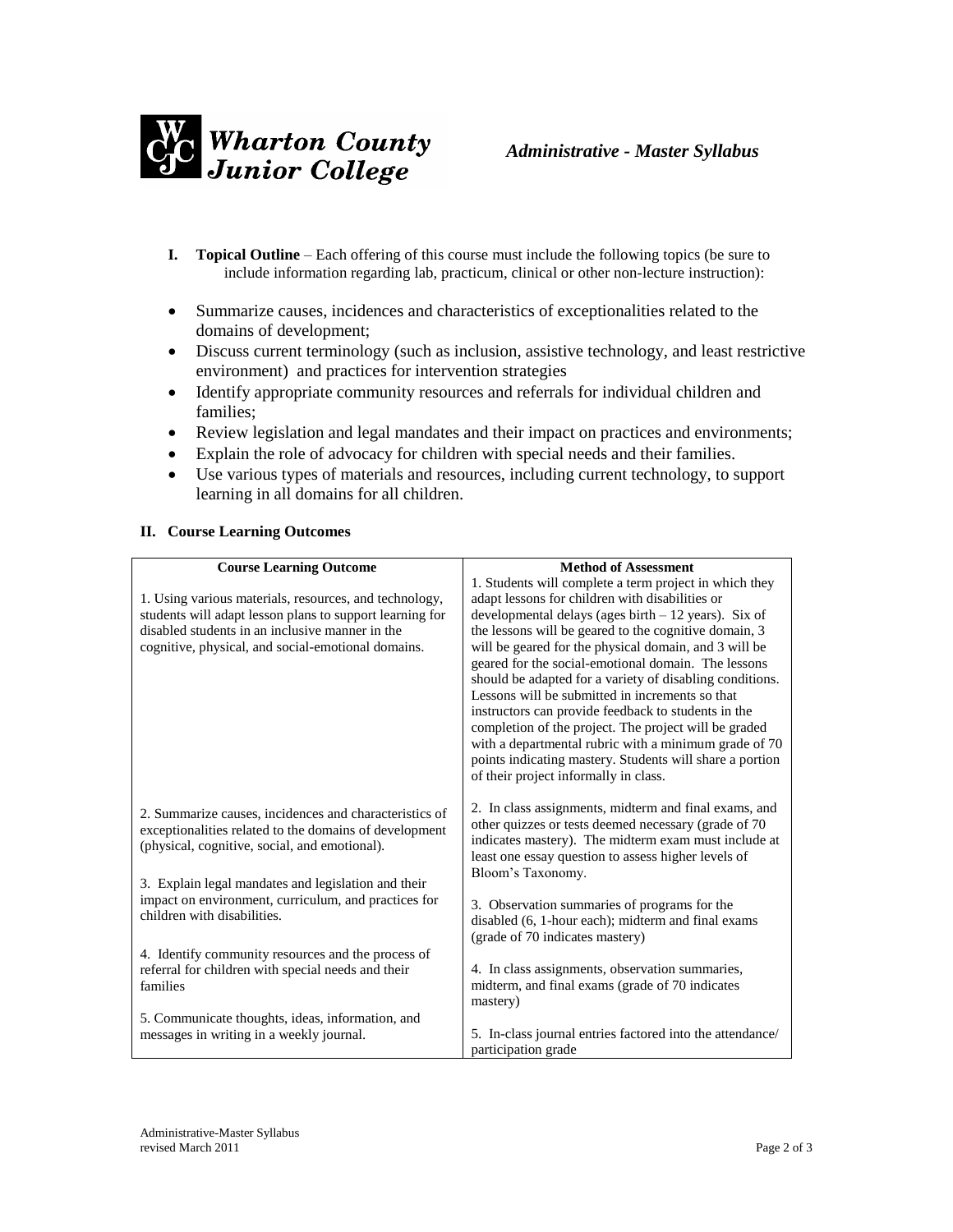

- **I. Topical Outline** Each offering of this course must include the following topics (be sure to include information regarding lab, practicum, clinical or other non-lecture instruction):
- Summarize causes, incidences and characteristics of exceptionalities related to the domains of development;
- Discuss current terminology (such as inclusion, assistive technology, and least restrictive environment) and practices for intervention strategies
- Identify appropriate community resources and referrals for individual children and families;
- Review legislation and legal mandates and their impact on practices and environments;
- Explain the role of advocacy for children with special needs and their families.
- Use various types of materials and resources, including current technology, to support learning in all domains for all children.

## **II. Course Learning Outcomes**

| <b>Course Learning Outcome</b>                           | <b>Method of Assessment</b>                               |
|----------------------------------------------------------|-----------------------------------------------------------|
|                                                          | 1. Students will complete a term project in which they    |
| 1. Using various materials, resources, and technology,   | adapt lessons for children with disabilities or           |
| students will adapt lesson plans to support learning for | developmental delays (ages birth $-12$ years). Six of     |
| disabled students in an inclusive manner in the          | the lessons will be geared to the cognitive domain, 3     |
| cognitive, physical, and social-emotional domains.       | will be geared for the physical domain, and 3 will be     |
|                                                          | geared for the social-emotional domain. The lessons       |
|                                                          | should be adapted for a variety of disabling conditions.  |
|                                                          | Lessons will be submitted in increments so that           |
|                                                          | instructors can provide feedback to students in the       |
|                                                          | completion of the project. The project will be graded     |
|                                                          | with a departmental rubric with a minimum grade of 70     |
|                                                          | points indicating mastery. Students will share a portion  |
|                                                          | of their project informally in class.                     |
|                                                          | 2. In class assignments, midterm and final exams, and     |
| 2. Summarize causes, incidences and characteristics of   | other quizzes or tests deemed necessary (grade of 70      |
| exceptionalities related to the domains of development   | indicates mastery). The midterm exam must include at      |
| (physical, cognitive, social, and emotional).            | least one essay question to assess higher levels of       |
|                                                          | Bloom's Taxonomy.                                         |
| 3. Explain legal mandates and legislation and their      |                                                           |
| impact on environment, curriculum, and practices for     | 3. Observation summaries of programs for the              |
| children with disabilities.                              | disabled (6, 1-hour each); midterm and final exams        |
|                                                          | (grade of 70 indicates mastery)                           |
| 4. Identify community resources and the process of       |                                                           |
| referral for children with special needs and their       | 4. In class assignments, observation summaries,           |
| families                                                 | midterm, and final exams (grade of 70 indicates           |
|                                                          | mastery)                                                  |
| 5. Communicate thoughts, ideas, information, and         |                                                           |
| messages in writing in a weekly journal.                 | 5. In-class journal entries factored into the attendance/ |
|                                                          | participation grade                                       |